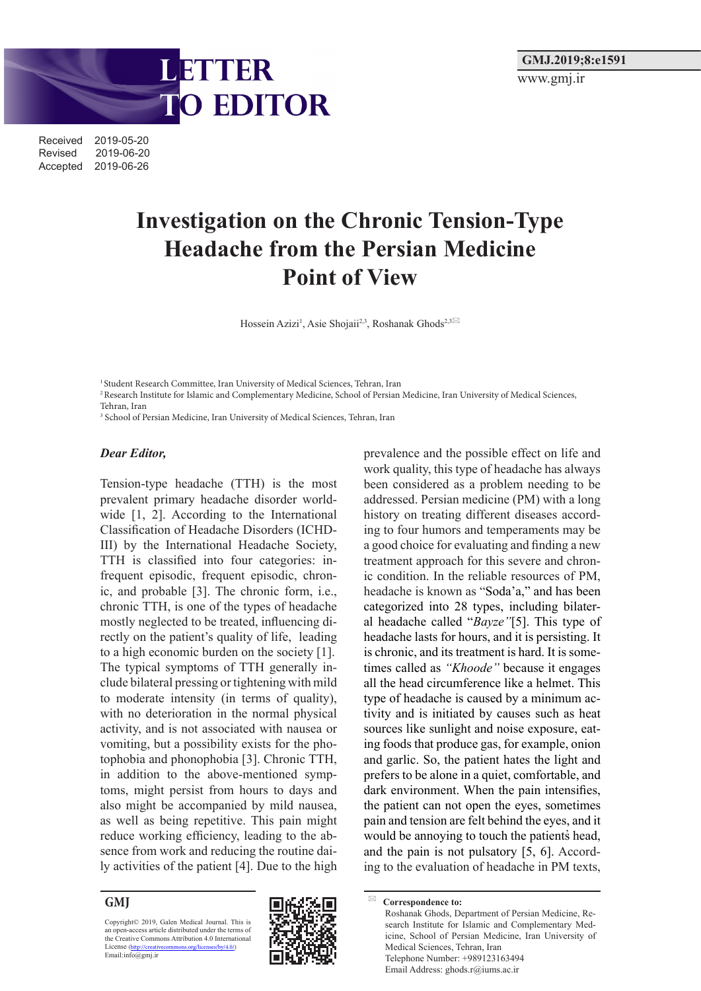

# **GMJ.2019;8:e1591** www.gmj.ir

# **Investigation on the Chronic Tension-Type Headache from the Persian Medicine Point of View**

Hossein Azizi<sup>1</sup>, Asie Shojaii<sup>2,3</sup>, Roshanak Ghods<sup>2,3⊠</sup>

<sup>1</sup> Student Research Committee, Iran University of Medical Sciences, Tehran, Iran

2 Research Institute for Islamic and Complementary Medicine, School of Persian Medicine, Iran University of Medical Sciences, Tehran, Iran

<sup>3</sup> School of Persian Medicine, Iran University of Medical Sciences, Tehran, Iran

### *Dear Editor,*

Tension-type headache (TTH) is the most prevalent primary headache disorder worldwide [1, 2]. According to the International Classification of Headache Disorders (ICHD-III) by the International Headache Society, TTH is classified into four categories: infrequent episodic, frequent episodic, chronic, and probable [3]. The chronic form, i.e., chronic TTH, is one of the types of headache mostly neglected to be treated, influencing directly on the patient's quality of life, leading to a high economic burden on the society [1]. The typical symptoms of TTH generally include bilateral pressing or tightening with mild to moderate intensity (in terms of quality), with no deterioration in the normal physical activity, and is not associated with nausea or vomiting, but a possibility exists for the photophobia and phonophobia [3]. Chronic TTH, in addition to the above-mentioned symptoms, might persist from hours to days and also might be accompanied by mild nausea, as well as being repetitive. This pain might reduce working efficiency, leading to the absence from work and reducing the routine daily activities of the patient [4]. Due to the high

#### **GMJ**

Copyright© 2019, Galen Medical Journal. This is an open-access article distributed under the terms of the Creative Commons Attribution 4.0 International License (http://creativecommons.org/licenses/by/4.0/)<br>Email:info@gmj.ir



prevalence and the possible effect on life and work quality, this type of headache has always been considered as a problem needing to be addressed. Persian medicine (PM) with a long history on treating different diseases according to four humors and temperaments may be a good choice for evaluating and finding a new treatment approach for this severe and chronic condition. In the reliable resources of PM, headache is known as "Soda'a," and has been categorized into 28 types, including bilateral headache called "*Bayze"*[5]. This type of headache lasts for hours, and it is persisting. It is chronic, and its treatment is hard. It is sometimes called as *"Khoode"* because it engages all the head circumference like a helmet. This type of headache is caused by a minimum activity and is initiated by causes such as heat sources like sunlight and noise exposure, eating foods that produce gas, for example, onion and garlic. So, the patient hates the light and prefers to be alone in a quiet, comfortable, and dark environment. When the pain intensifies, the patient can not open the eyes, sometimes pain and tension are felt behind the eyes, and it would be annoying to touch the patients head, and the pain is not pulsatory [5, 6]. According to the evaluation of headache in PM texts,

**Correspondence to:** Roshanak Ghods, Department of Persian Medicine, Research Institute for Islamic and Complementary Medicine, School of Persian Medicine, Iran University of Medical Sciences, Tehran, Iran Telephone Number: +989123163494 Email Address: ghods.r@iums.ac.ir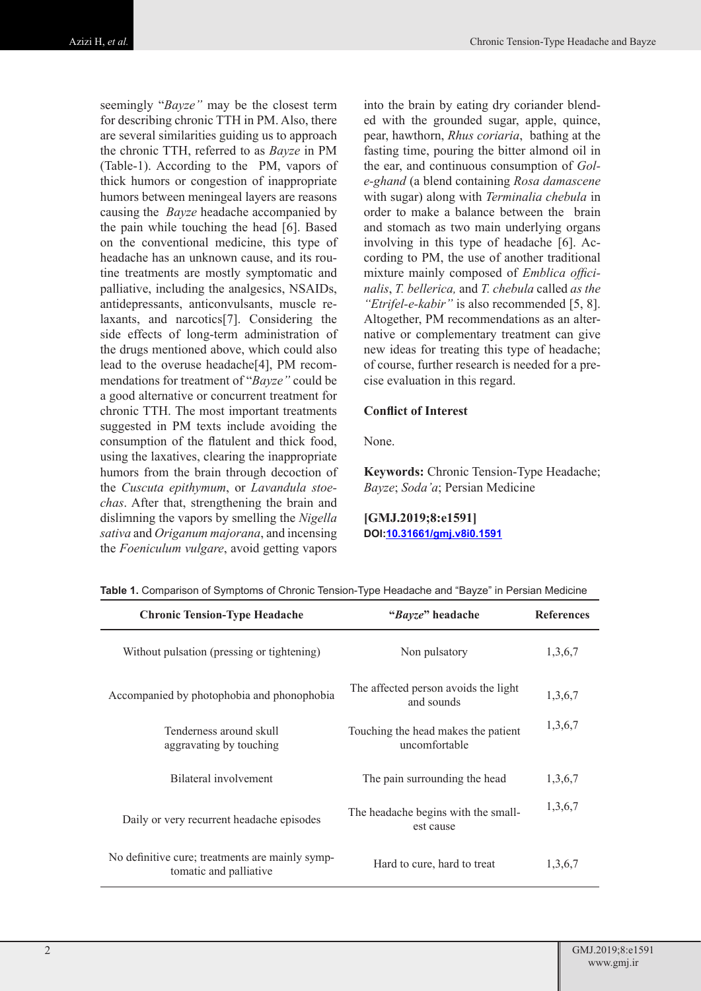seemingly "*Bayze"* may be the closest term for describing chronic TTH in PM. Also, there are several similarities guiding us to approach the chronic TTH, referred to as *Bayze* in PM (Table-1). According to the PM, vapors of thick humors or congestion of inappropriate humors between meningeal layers are reasons causing the *Bayze* headache accompanied by the pain while touching the head [6]. Based on the conventional medicine, this type of headache has an unknown cause, and its routine treatments are mostly symptomatic and palliative, including the analgesics, NSAIDs, antidepressants, anticonvulsants, muscle relaxants, and narcotics[7]. Considering the side effects of long-term administration of the drugs mentioned above, which could also lead to the overuse headache[4], PM recommendations for treatment of "*Bayze"* could be a good alternative or concurrent treatment for chronic TTH. The most important treatments suggested in PM texts include avoiding the consumption of the flatulent and thick food, using the laxatives, clearing the inappropriate humors from the brain through decoction of the *Cuscuta epithymum*, or *Lavandula stoechas*. After that, strengthening the brain and dislimning the vapors by smelling the *Nigella sativa* and *Origanum majorana*, and incensing the *Foeniculum vulgare*, avoid getting vapors

into the brain by eating dry coriander blended with the grounded sugar, apple, quince, pear, hawthorn, *Rhus coriaria*, bathing at the fasting time, pouring the bitter almond oil in the ear, and continuous consumption of *Gole-ghand* (a blend containing *Rosa damascene* with sugar) along with *Terminalia chebula* in order to make a balance between the brain and stomach as two main underlying organs involving in this type of headache [6]. According to PM, the use of another traditional mixture mainly composed of *Emblica officinalis*, *T. bellerica,* and *T. chebula* called *as the "Etrifel-e-kabir"* is also recommended [5, 8]. Altogether, PM recommendations as an alternative or complementary treatment can give new ideas for treating this type of headache; of course, further research is needed for a precise evaluation in this regard.

# **Conflict of Interest**

None.

**Keywords:** Chronic Tension-Type Headache; *Bayze*; *Soda'a*; Persian Medicine

**[GMJ.2019;8:e1591] DOI:10.31661/gmj.v8i0.1591**

| <b>Chronic Tension-Type Headache</b>                                      | "Bayze" headache                                     | <b>References</b> |
|---------------------------------------------------------------------------|------------------------------------------------------|-------------------|
| Without pulsation (pressing or tightening)                                | Non pulsatory                                        | 1,3,6,7           |
| Accompanied by photophobia and phonophobia                                | The affected person avoids the light<br>and sounds   | 1,3,6,7           |
| Tenderness around skull<br>aggravating by touching                        | Touching the head makes the patient<br>uncomfortable | 1,3,6,7           |
| Bilateral involvement                                                     | The pain surrounding the head                        | 1,3,6,7           |
| Daily or very recurrent headache episodes                                 | The headache begins with the small-<br>est cause     | 1,3,6,7           |
| No definitive cure; treatments are mainly symp-<br>tomatic and palliative | Hard to cure, hard to treat                          | 1,3,6,7           |

**Table 1.** Comparison of Symptoms of Chronic Tension-Type Headache and "Bayze" in Persian Medicine